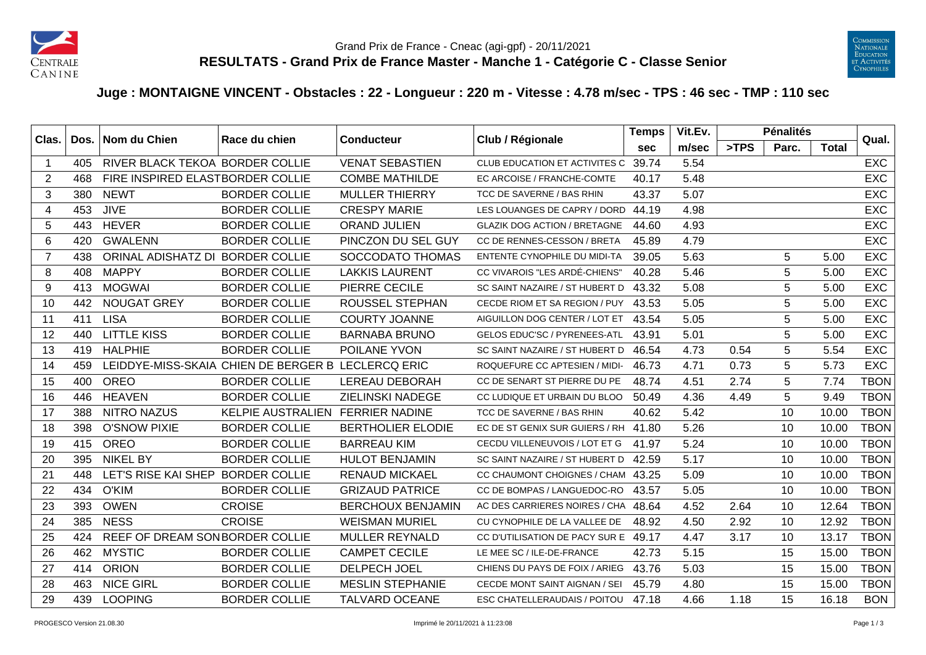



## **Juge : MONTAIGNE VINCENT - Obstacles : 22 - Longueur : 220 m - Vitesse : 4.78 m/sec - TPS : 46 sec - TMP : 110 sec**

| Clas.                   | Dos. | Nom du Chien                      | Race du chien                                      | <b>Conducteur</b>        | Club / Régionale                    | <b>Temps</b> | Vit.Ev. |      | <b>Pénalités</b> |       | Qual.       |
|-------------------------|------|-----------------------------------|----------------------------------------------------|--------------------------|-------------------------------------|--------------|---------|------|------------------|-------|-------------|
|                         |      |                                   |                                                    |                          |                                     | sec          | m/sec   | >TPS | Parc.            | Total |             |
| $\overline{\mathbf{1}}$ | 405  | RIVER BLACK TEKOA BORDER COLLIE   |                                                    | <b>VENAT SEBASTIEN</b>   | CLUB EDUCATION ET ACTIVITES C       | 39.74        | 5.54    |      |                  |       | <b>EXC</b>  |
| 2                       | 468  | FIRE INSPIRED ELASTBORDER COLLIE  |                                                    | <b>COMBE MATHILDE</b>    | EC ARCOISE / FRANCHE-COMTE          | 40.17        | 5.48    |      |                  |       | <b>EXC</b>  |
| 3                       | 380  | <b>NEWT</b>                       | <b>BORDER COLLIE</b>                               | <b>MULLER THIERRY</b>    | TCC DE SAVERNE / BAS RHIN           | 43.37        | 5.07    |      |                  |       | <b>EXC</b>  |
| $\overline{4}$          | 453  | <b>JIVE</b>                       | <b>BORDER COLLIE</b>                               | <b>CRESPY MARIE</b>      | LES LOUANGES DE CAPRY / DORD        | 44.19        | 4.98    |      |                  |       | <b>EXC</b>  |
| 5                       | 443  | <b>HEVER</b>                      | <b>BORDER COLLIE</b>                               | ORAND JULIEN             | <b>GLAZIK DOG ACTION / BRETAGNE</b> | 44.60        | 4.93    |      |                  |       | <b>EXC</b>  |
| 6                       | 420  | <b>GWALENN</b>                    | <b>BORDER COLLIE</b>                               | PINCZON DU SEL GUY       | CC DE RENNES-CESSON / BRETA         | 45.89        | 4.79    |      |                  |       | <b>EXC</b>  |
| $\overline{7}$          | 438  | ORINAL ADISHATZ DI                | <b>BORDER COLLIE</b>                               | SOCCODATO THOMAS         | <b>ENTENTE CYNOPHILE DU MIDI-TA</b> | 39.05        | 5.63    |      | 5                | 5.00  | <b>EXC</b>  |
| 8                       | 408  | <b>MAPPY</b>                      | <b>BORDER COLLIE</b>                               | <b>LAKKIS LAURENT</b>    | CC VIVAROIS "LES ARDÉ-CHIENS"       | 40.28        | 5.46    |      | 5                | 5.00  | <b>EXC</b>  |
| 9                       | 413  | <b>MOGWAI</b>                     | <b>BORDER COLLIE</b>                               | PIERRE CECILE            | SC SAINT NAZAIRE / ST HUBERT D      | 43.32        | 5.08    |      | 5                | 5.00  | <b>EXC</b>  |
| 10                      | 442  | <b>NOUGAT GREY</b>                | <b>BORDER COLLIE</b>                               | ROUSSEL STEPHAN          | CECDE RIOM ET SA REGION / PUY       | 43.53        | 5.05    |      | 5                | 5.00  | <b>EXC</b>  |
| 11                      | 411  | <b>LISA</b>                       | <b>BORDER COLLIE</b>                               | <b>COURTY JOANNE</b>     | AIGUILLON DOG CENTER / LOT ET       | 43.54        | 5.05    |      | 5                | 5.00  | <b>EXC</b>  |
| 12                      | 440  | <b>LITTLE KISS</b>                | <b>BORDER COLLIE</b>                               | <b>BARNABA BRUNO</b>     | <b>GELOS EDUC'SC / PYRENEES-ATL</b> | 43.91        | 5.01    |      | 5                | 5.00  | <b>EXC</b>  |
| 13                      | 419  | <b>HALPHIE</b>                    | <b>BORDER COLLIE</b>                               | POILANE YVON             | SC SAINT NAZAIRE / ST HUBERT D      | 46.54        | 4.73    | 0.54 | 5                | 5.54  | <b>EXC</b>  |
| 14                      | 459  |                                   | LEIDDYE-MISS-SKAIA CHIEN DE BERGER B LECLERCQ ERIC |                          | ROQUEFURE CC APTESIEN / MIDI-       | 46.73        | 4.71    | 0.73 | 5                | 5.73  | <b>EXC</b>  |
| 15                      | 400  | <b>OREO</b>                       | <b>BORDER COLLIE</b>                               | <b>LEREAU DEBORAH</b>    | CC DE SENART ST PIERRE DU PE        | 48.74        | 4.51    | 2.74 | 5                | 7.74  | <b>TBON</b> |
| 16                      | 446  | <b>HEAVEN</b>                     | <b>BORDER COLLIE</b>                               | <b>ZIELINSKI NADEGE</b>  | CC LUDIQUE ET URBAIN DU BLOO        | 50.49        | 4.36    | 4.49 | 5                | 9.49  | <b>TBON</b> |
| 17                      | 388  | <b>NITRO NAZUS</b>                | <b>KELPIE AUSTRALIEN</b>                           | <b>FERRIER NADINE</b>    | TCC DE SAVERNE / BAS RHIN           | 40.62        | 5.42    |      | 10               | 10.00 | <b>TBON</b> |
| 18                      | 398  | <b>O'SNOW PIXIE</b>               | <b>BORDER COLLIE</b>                               | <b>BERTHOLIER ELODIE</b> | EC DE ST GENIX SUR GUIERS / RH      | 41.80        | 5.26    |      | 10               | 10.00 | <b>TBON</b> |
| 19                      | 415  | <b>OREO</b>                       | <b>BORDER COLLIE</b>                               | <b>BARREAU KIM</b>       | CECDU VILLENEUVOIS / LOT ET G       | 41.97        | 5.24    |      | 10               | 10.00 | <b>TBON</b> |
| 20                      | 395  | <b>NIKEL BY</b>                   | <b>BORDER COLLIE</b>                               | <b>HULOT BENJAMIN</b>    | SC SAINT NAZAIRE / ST HUBERT D      | 42.59        | 5.17    |      | 10               | 10.00 | <b>TBON</b> |
| 21                      | 448  | LET'S RISE KAI SHEP BORDER COLLIE |                                                    | <b>RENAUD MICKAEL</b>    | CC CHAUMONT CHOIGNES / CHAM 43.25   |              | 5.09    |      | 10               | 10.00 | <b>TBON</b> |
| 22                      | 434  | O'KIM                             | <b>BORDER COLLIE</b>                               | <b>GRIZAUD PATRICE</b>   | CC DE BOMPAS / LANGUEDOC-RO         | 43.57        | 5.05    |      | 10               | 10.00 | <b>TBON</b> |
| 23                      | 393  | <b>OWEN</b>                       | <b>CROISE</b>                                      | <b>BERCHOUX BENJAMIN</b> | AC DES CARRIERES NOIRES / CHA       | 48.64        | 4.52    | 2.64 | 10               | 12.64 | <b>TBON</b> |
| 24                      | 385  | <b>NESS</b>                       | <b>CROISE</b>                                      | <b>WEISMAN MURIEL</b>    | CU CYNOPHILE DE LA VALLEE DE        | 48.92        | 4.50    | 2.92 | 10               | 12.92 | <b>TBON</b> |
| 25                      | 424  | REEF OF DREAM SONBORDER COLLIE    |                                                    | <b>MULLER REYNALD</b>    | CC D'UTILISATION DE PACY SUR E      | 49.17        | 4.47    | 3.17 | 10               | 13.17 | <b>TBON</b> |
| 26                      | 462  | <b>MYSTIC</b>                     | <b>BORDER COLLIE</b>                               | <b>CAMPET CECILE</b>     | LE MEE SC / ILE-DE-FRANCE           | 42.73        | 5.15    |      | 15               | 15.00 | <b>TBON</b> |
| 27                      | 414  | <b>ORION</b>                      | <b>BORDER COLLIE</b>                               | <b>DELPECH JOEL</b>      | CHIENS DU PAYS DE FOIX / ARIEG      | 43.76        | 5.03    |      | 15               | 15.00 | <b>TBON</b> |
| 28                      | 463  | <b>NICE GIRL</b>                  | <b>BORDER COLLIE</b>                               | <b>MESLIN STEPHANIE</b>  | CECDE MONT SAINT AIGNAN / SEI       | 45.79        | 4.80    |      | 15               | 15.00 | <b>TBON</b> |
| 29                      | 439  | <b>LOOPING</b>                    | <b>BORDER COLLIE</b>                               | <b>TALVARD OCEANE</b>    | ESC CHATELLERAUDAIS / POITOU        | 47.18        | 4.66    | 1.18 | 15               | 16.18 | <b>BON</b>  |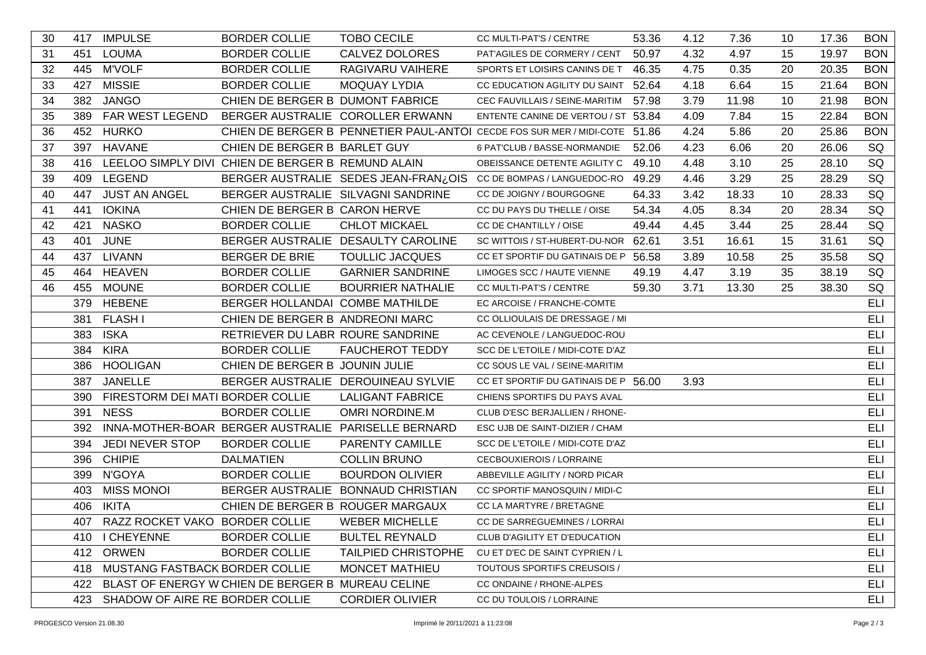| 30 |     | 417 IMPULSE                          | <b>BORDER COLLIE</b>                                  | <b>TOBO CECILE</b>                                  | CC MULTI-PAT'S / CENTRE                                                    | 53.36 | 4.12 | 7.36  | 10 | 17.36 | <b>BON</b> |
|----|-----|--------------------------------------|-------------------------------------------------------|-----------------------------------------------------|----------------------------------------------------------------------------|-------|------|-------|----|-------|------------|
| 31 |     | 451 LOUMA                            | <b>BORDER COLLIE</b>                                  | CALVEZ DOLORES                                      | PAT'AGILES DE CORMERY / CENT                                               | 50.97 | 4.32 | 4.97  | 15 | 19.97 | <b>BON</b> |
| 32 |     | 445 M'VOLF                           | <b>BORDER COLLIE</b>                                  | RAGIVARU VAIHERE                                    | SPORTS ET LOISIRS CANINS DE T 46.35                                        |       | 4.75 | 0.35  | 20 | 20.35 | <b>BON</b> |
| 33 |     | 427 MISSIE                           | <b>BORDER COLLIE</b>                                  | <b>MOQUAY LYDIA</b>                                 | CC EDUCATION AGILITY DU SAINT 52.64                                        |       | 4.18 | 6.64  | 15 | 21.64 | <b>BON</b> |
| 34 | 382 | <b>JANGO</b>                         | CHIEN DE BERGER B DUMONT FABRICE                      |                                                     | CEC FAUVILLAIS / SEINE-MARITIM                                             | 57.98 | 3.79 | 11.98 | 10 | 21.98 | <b>BON</b> |
| 35 |     | 389 FAR WEST LEGEND                  |                                                       | BERGER AUSTRALIE COROLLER ERWANN                    | ENTENTE CANINE DE VERTOU / ST 53.84                                        |       | 4.09 | 7.84  | 15 | 22.84 | <b>BON</b> |
| 36 |     | 452 HURKO                            |                                                       |                                                     | CHIEN DE BERGER B PENNETIER PAUL-ANTOI CECDE FOS SUR MER / MIDI-COTE 51.86 |       | 4.24 | 5.86  | 20 | 25.86 | <b>BON</b> |
| 37 |     | 397 HAVANE                           | CHIEN DE BERGER B BARLET GUY                          |                                                     | 6 PAT'CLUB / BASSE-NORMANDIE                                               | 52.06 | 4.23 | 6.06  | 20 | 26.06 | SQ         |
| 38 |     |                                      | 416 LEELOO SIMPLY DIVI CHIEN DE BERGER B REMUND ALAIN |                                                     | OBEISSANCE DETENTE AGILITY C 49.10                                         |       | 4.48 | 3.10  | 25 | 28.10 | SQ         |
| 39 |     | 409 LEGEND                           |                                                       | BERGER AUSTRALIE SEDES JEAN-FRAN¿OIS                | CC DE BOMPAS / LANGUEDOC-RO                                                | 49.29 | 4.46 | 3.29  | 25 | 28.29 | SQ         |
| 40 |     | 447 JUST AN ANGEL                    | BERGER AUSTRALIE SILVAGNI SANDRINE                    |                                                     | CC DE JOIGNY / BOURGOGNE                                                   | 64.33 | 3.42 | 18.33 | 10 | 28.33 | SQ         |
| 41 | 441 | <b>IOKINA</b>                        | CHIEN DE BERGER B CARON HERVE                         |                                                     | CC DU PAYS DU THELLE / OISE                                                | 54.34 | 4.05 | 8.34  | 20 | 28.34 | SQ         |
| 42 | 421 | <b>NASKO</b>                         | <b>BORDER COLLIE</b>                                  | <b>CHLOT MICKAEL</b>                                | CC DE CHANTILLY / OISE                                                     | 49.44 | 4.45 | 3.44  | 25 | 28.44 | SQ         |
| 43 | 401 | <b>JUNE</b>                          |                                                       | BERGER AUSTRALIE DESAULTY CAROLINE                  | SC WITTOIS / ST-HUBERT-DU-NOR 62.61                                        |       | 3.51 | 16.61 | 15 | 31.61 | SQ         |
| 44 | 437 | LIVANN                               | BERGER DE BRIE                                        | <b>TOULLIC JACQUES</b>                              | CC ET SPORTIF DU GATINAIS DE P 56.58                                       |       | 3.89 | 10.58 | 25 | 35.58 | SQ         |
| 45 | 464 | <b>HEAVEN</b>                        | <b>BORDER COLLIE</b>                                  | <b>GARNIER SANDRINE</b>                             | LIMOGES SCC / HAUTE VIENNE                                                 | 49.19 | 4.47 | 3.19  | 35 | 38.19 | SQ         |
| 46 |     | 455 MOUNE                            | <b>BORDER COLLIE</b>                                  | <b>BOURRIER NATHALIE</b>                            | CC MULTI-PAT'S / CENTRE                                                    | 59.30 | 3.71 | 13.30 | 25 | 38.30 | SQ         |
|    |     | 379 HEBENE                           | BERGER HOLLANDAI COMBE MATHILDE                       |                                                     | EC ARCOISE / FRANCHE-COMTE                                                 |       |      |       |    |       | ELI        |
|    |     | 381 FLASH I                          | CHIEN DE BERGER B ANDREONI MARC                       |                                                     | CC OLLIOULAIS DE DRESSAGE / MI                                             |       |      |       |    |       | <b>ELI</b> |
|    |     | 383 ISKA                             | RETRIEVER DU LABR ROURE SANDRINE                      |                                                     | AC CEVENOLE / LANGUEDOC-ROU                                                |       |      |       |    |       | ELI        |
|    | 384 | <b>KIRA</b>                          | <b>BORDER COLLIE</b>                                  | <b>FAUCHEROT TEDDY</b>                              | SCC DE L'ETOILE / MIDI-COTE D'AZ                                           |       |      |       |    |       | ELI        |
|    |     | 386 HOOLIGAN                         | CHIEN DE BERGER B JOUNIN JULIE                        |                                                     | CC SOUS LE VAL / SEINE-MARITIM                                             |       |      |       |    |       | ELI        |
|    |     | 387 JANELLE                          |                                                       | BERGER AUSTRALIE DEROUINEAU SYLVIE                  | CC ET SPORTIF DU GATINAIS DE P 56.00                                       |       | 3.93 |       |    |       | ELI        |
|    |     | 390 FIRESTORM DEI MATI BORDER COLLIE |                                                       | <b>LALIGANT FABRICE</b>                             | CHIENS SPORTIFS DU PAYS AVAL                                               |       |      |       |    |       | <b>ELI</b> |
|    |     | 391 NESS                             | <b>BORDER COLLIE</b>                                  | <b>OMRI NORDINE.M</b>                               | CLUB D'ESC BERJALLIEN / RHONE-                                             |       |      |       |    |       | ELI        |
|    | 392 |                                      |                                                       | INNA-MOTHER-BOAR BERGER AUSTRALIE PARISELLE BERNARD | ESC UJB DE SAINT-DIZIER / CHAM                                             |       |      |       |    |       | <b>ELI</b> |
|    | 394 | <b>JEDI NEVER STOP</b>               | <b>BORDER COLLIE</b>                                  | PARENTY CAMILLE                                     | SCC DE L'ETOILE / MIDI-COTE D'AZ                                           |       |      |       |    |       | ELI        |
|    |     | 396 CHIPIE                           | <b>DALMATIEN</b>                                      | <b>COLLIN BRUNO</b>                                 | CECBOUXIEROIS / LORRAINE                                                   |       |      |       |    |       | ELI        |
|    |     | 399 N'GOYA                           | <b>BORDER COLLIE</b>                                  | <b>BOURDON OLIVIER</b>                              | ABBEVILLE AGILITY / NORD PICAR                                             |       |      |       |    |       | ELI        |
|    |     | 403 MISS MONOI                       |                                                       | BERGER AUSTRALIE BONNAUD CHRISTIAN                  | CC SPORTIF MANOSQUIN / MIDI-C                                              |       |      |       |    |       | <b>ELI</b> |
|    |     | 406 IKITA                            | CHIEN DE BERGER B ROUGER MARGAUX                      |                                                     | CC LA MARTYRE / BRETAGNE                                                   |       |      |       |    |       | <b>ELI</b> |
|    |     | 407 RAZZ ROCKET VAKO BORDER COLLIE   |                                                       | <b>WEBER MICHELLE</b>                               | CC DE SARREGUEMINES / LORRAI                                               |       |      |       |    |       | ELI        |
|    |     | 410 I CHEYENNE                       | <b>BORDER COLLIE</b>                                  | <b>BULTEL REYNALD</b>                               | CLUB D'AGILITY ET D'EDUCATION                                              |       |      |       |    |       | ELI        |
|    |     | 412 ORWEN                            | <b>BORDER COLLIE</b>                                  | <b>TAILPIED CHRISTOPHE</b>                          | CU ET D'EC DE SAINT CYPRIEN / L                                            |       |      |       |    |       | ELI        |
|    |     | 418 MUSTANG FASTBACK BORDER COLLIE   |                                                       | <b>MONCET MATHIEU</b>                               | TOUTOUS SPORTIFS CREUSOIS /                                                |       |      |       |    |       | ELI        |
|    |     |                                      | 422 BLAST OF ENERGY W CHIEN DE BERGER B MUREAU CELINE |                                                     | CC ONDAINE / RHONE-ALPES                                                   |       |      |       |    |       | <b>ELI</b> |
|    |     | 423 SHADOW OF AIRE RE BORDER COLLIE  |                                                       | <b>CORDIER OLIVIER</b>                              | CC DU TOULOIS / LORRAINE                                                   |       |      |       |    |       | ELI        |